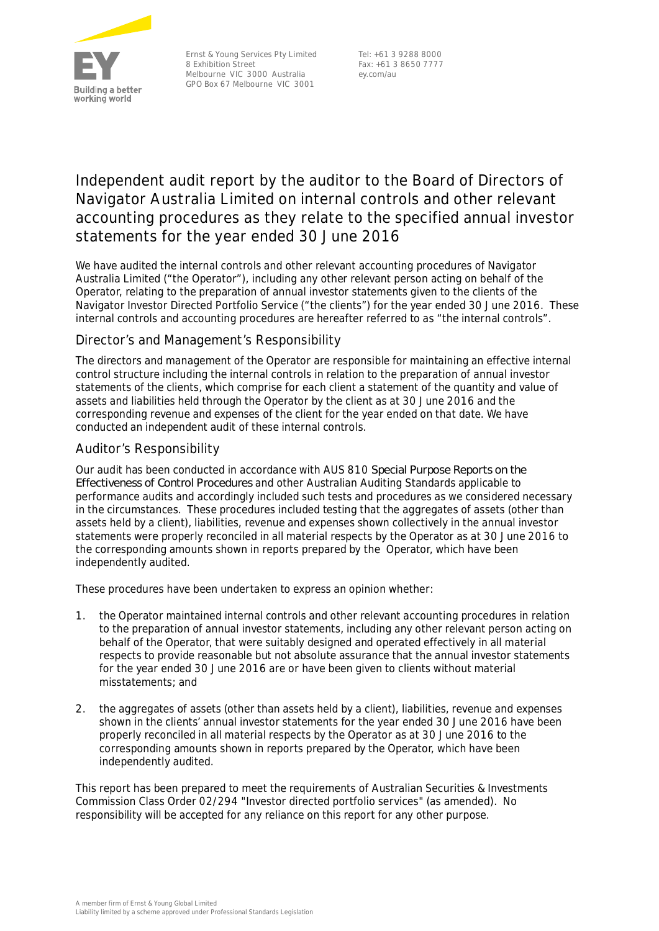

Ernst & Young Services Pty Limited 8 Exhibition Street Melbourne VIC 3000 Australia GPO Box 67 Melbourne VIC 3001

Tel: +61 3 9288 8000 Fax: +61 3 8650 7777 ey.com/au

# **Independent audit report by the auditor to the Board of Directors of Navigator Australia Limited on internal controls and other relevant accounting procedures as they relate to the specified annual investor statements for the year ended 30 June 2016**

We have audited the internal controls and other relevant accounting procedures of Navigator Australia Limited ("the Operator"), including any other relevant person acting on behalf of the Operator, relating to the preparation of annual investor statements given to the clients of the Navigator Investor Directed Portfolio Service ("the clients") for the year ended 30 June 2016. These internal controls and accounting procedures are hereafter referred to as "the internal controls".

### *Director's and Management's Responsibility*

The directors and management of the Operator are responsible for maintaining an effective internal control structure including the internal controls in relation to the preparation of annual investor statements of the clients, which comprise for each client a statement of the quantity and value of assets and liabilities held through the Operator by the client as at 30 June 2016 and the corresponding revenue and expenses of the client for the year ended on that date. We have conducted an independent audit of these internal controls.

### *Auditor's Responsibility*

Our audit has been conducted in accordance with AUS 810 *Special Purpose Reports on the Effectiveness of Control Procedures* and other Australian Auditing Standards applicable to performance audits and accordingly included such tests and procedures as we considered necessary in the circumstances. These procedures included testing that the aggregates of assets (other than assets held by a client), liabilities, revenue and expenses shown collectively in the annual investor statements were properly reconciled in all material respects by the Operator as at 30 June 2016 to the corresponding amounts shown in reports prepared by the Operator, which have been independently audited.

These procedures have been undertaken to express an opinion whether:

- 1. the Operator maintained internal controls and other relevant accounting procedures in relation to the preparation of annual investor statements, including any other relevant person acting on behalf of the Operator, that were suitably designed and operated effectively in all material respects to provide reasonable but not absolute assurance that the annual investor statements for the year ended 30 June 2016 are or have been given to clients without material misstatements; and
- 2. the aggregates of assets (other than assets held by a client), liabilities, revenue and expenses shown in the clients' annual investor statements for the year ended 30 June 2016 have been properly reconciled in all material respects by the Operator as at 30 June 2016 to the corresponding amounts shown in reports prepared by the Operator, which have been independently audited.

This report has been prepared to meet the requirements of Australian Securities & Investments Commission Class Order 02/294 "Investor directed portfolio services" (as amended). No responsibility will be accepted for any reliance on this report for any other purpose.